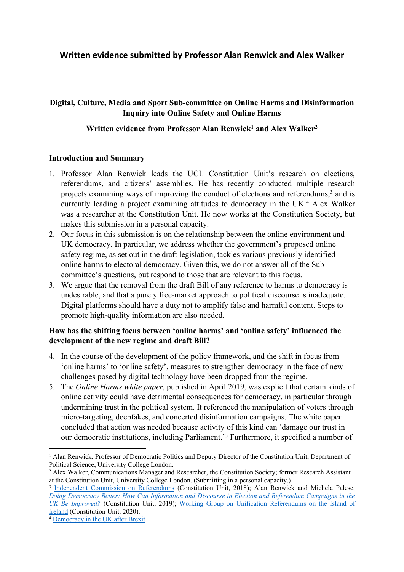# **Written evidence submitted by Professor Alan Renwick and Alex Walker**

## **Digital, Culture, Media and Sport Sub-committee on Online Harms and Disinformation Inquiry into Online Safety and Online Harms**

### **Written evidence from Professor Alan Renwick<sup>1</sup> and Alex Walker<sup>2</sup>**

#### **Introduction and Summary**

- 1. Professor Alan Renwick leads the UCL Constitution Unit's research on elections, referendums, and citizens' assemblies. He has recently conducted multiple research projects examining ways of improving the conduct of elections and referendums,<sup>3</sup> and is currently leading a project examining attitudes to democracy in the UK.<sup>4</sup> Alex Walker was a researcher at the Constitution Unit. He now works at the Constitution Society, but makes this submission in a personal capacity.
- 2. Our focus in this submission is on the relationship between the online environment and UK democracy. In particular, we address whether the government's proposed online safety regime, as set out in the draft legislation, tackles various previously identified online harms to electoral democracy. Given this, we do not answer all of the Subcommittee's questions, but respond to those that are relevant to this focus.
- 3. We argue that the removal from the draft Bill of any reference to harms to democracy is undesirable, and that a purely free-market approach to political discourse is inadequate. Digital platforms should have a duty not to amplify false and harmful content. Steps to promote high-quality information are also needed.

### **How has the shifting focus between 'online harms' and 'online safety' influenced the development of the new regime and draft Bill?**

- 4. In the course of the development of the policy framework, and the shift in focus from 'online harms' to 'online safety', measures to strengthen democracy in the face of new challenges posed by digital technology have been dropped from the regime.
- 5. The *Online Harms white paper*, published in April 2019, was explicit that certain kinds of online activity could have detrimental consequences for democracy, in particular through undermining trust in the political system. It referenced the manipulation of voters through micro-targeting, deepfakes, and concerted disinformation campaigns. The white paper concluded that action was needed because activity of this kind can 'damage our trust in our democratic institutions, including Parliament.'<sup>5</sup> Furthermore, it specified a number of

<sup>1</sup> Alan Renwick, Professor of Democratic Politics and Deputy Director of the Constitution Unit, Department of Political Science, University College London.

<sup>2</sup> Alex Walker, Communications Manager and Researcher, the Constitution Society; former Research Assistant at the Constitution Unit, University College London. (Submitting in a personal capacity.)

<sup>&</sup>lt;sup>3</sup> [Independent](https://www.ucl.ac.uk/constitution-unit/research/elections-and-referendums/independent-commission-referendums) [Commission](https://www.ucl.ac.uk/constitution-unit/research/elections-and-referendums/independent-commission-referendums) [on](https://www.ucl.ac.uk/constitution-unit/research/elections-and-referendums/independent-commission-referendums) [Referendums](https://www.ucl.ac.uk/constitution-unit/research/elections-and-referendums/independent-commission-referendums) (Constitution Unit, 2018); Alan Renwick and Michela Palese, *[Doing](https://www.ucl.ac.uk/constitution-unit/research/elections-and-referendums/improving-discourse-during-election-and-referendum-campaigns) [Democracy](https://www.ucl.ac.uk/constitution-unit/research/elections-and-referendums/improving-discourse-during-election-and-referendum-campaigns) [Better:](https://www.ucl.ac.uk/constitution-unit/research/elections-and-referendums/improving-discourse-during-election-and-referendum-campaigns) [How](https://www.ucl.ac.uk/constitution-unit/research/elections-and-referendums/improving-discourse-during-election-and-referendum-campaigns) [Can](https://www.ucl.ac.uk/constitution-unit/research/elections-and-referendums/improving-discourse-during-election-and-referendum-campaigns) [Information](https://www.ucl.ac.uk/constitution-unit/research/elections-and-referendums/improving-discourse-during-election-and-referendum-campaigns) [and](https://www.ucl.ac.uk/constitution-unit/research/elections-and-referendums/improving-discourse-during-election-and-referendum-campaigns) [Discourse](https://www.ucl.ac.uk/constitution-unit/research/elections-and-referendums/improving-discourse-during-election-and-referendum-campaigns) [in](https://www.ucl.ac.uk/constitution-unit/research/elections-and-referendums/improving-discourse-during-election-and-referendum-campaigns) [Election](https://www.ucl.ac.uk/constitution-unit/research/elections-and-referendums/improving-discourse-during-election-and-referendum-campaigns) [and](https://www.ucl.ac.uk/constitution-unit/research/elections-and-referendums/improving-discourse-during-election-and-referendum-campaigns) [Referendum](https://www.ucl.ac.uk/constitution-unit/research/elections-and-referendums/improving-discourse-during-election-and-referendum-campaigns) [Campaigns](https://www.ucl.ac.uk/constitution-unit/research/elections-and-referendums/improving-discourse-during-election-and-referendum-campaigns) [in](https://www.ucl.ac.uk/constitution-unit/research/elections-and-referendums/improving-discourse-during-election-and-referendum-campaigns) [the](https://www.ucl.ac.uk/constitution-unit/research/elections-and-referendums/improving-discourse-during-election-and-referendum-campaigns) [UK](https://www.ucl.ac.uk/constitution-unit/research/elections-and-referendums/improving-discourse-during-election-and-referendum-campaigns) [Be](https://www.ucl.ac.uk/constitution-unit/research/elections-and-referendums/improving-discourse-during-election-and-referendum-campaigns) [Improved?](https://www.ucl.ac.uk/constitution-unit/research/elections-and-referendums/improving-discourse-during-election-and-referendum-campaigns)* (Constitution Unit, 2019); [Working](https://www.ucl.ac.uk/constitution-unit/research/elections-and-referendums/working-group-unification-referendums-island-ireland) [Group](https://www.ucl.ac.uk/constitution-unit/research/elections-and-referendums/working-group-unification-referendums-island-ireland) [on](https://www.ucl.ac.uk/constitution-unit/research/elections-and-referendums/working-group-unification-referendums-island-ireland) [Unification](https://www.ucl.ac.uk/constitution-unit/research/elections-and-referendums/working-group-unification-referendums-island-ireland) [Referendums](https://www.ucl.ac.uk/constitution-unit/research/elections-and-referendums/working-group-unification-referendums-island-ireland) [on](https://www.ucl.ac.uk/constitution-unit/research/elections-and-referendums/working-group-unification-referendums-island-ireland) [the](https://www.ucl.ac.uk/constitution-unit/research/elections-and-referendums/working-group-unification-referendums-island-ireland) [Island](https://www.ucl.ac.uk/constitution-unit/research/elections-and-referendums/working-group-unification-referendums-island-ireland) [of](https://www.ucl.ac.uk/constitution-unit/research/elections-and-referendums/working-group-unification-referendums-island-ireland) [Ireland](https://www.ucl.ac.uk/constitution-unit/research/elections-and-referendums/working-group-unification-referendums-island-ireland) (Constitution Unit, 2020).

<sup>4</sup> [Democracy](https://www.ucl.ac.uk/constitution-unit/research/deliberative-democracy/democracy-uk-after-brexit) [in](https://www.ucl.ac.uk/constitution-unit/research/deliberative-democracy/democracy-uk-after-brexit) [the](https://www.ucl.ac.uk/constitution-unit/research/deliberative-democracy/democracy-uk-after-brexit) [UK](https://www.ucl.ac.uk/constitution-unit/research/deliberative-democracy/democracy-uk-after-brexit) [after](https://www.ucl.ac.uk/constitution-unit/research/deliberative-democracy/democracy-uk-after-brexit) [Brexit](https://www.ucl.ac.uk/constitution-unit/research/deliberative-democracy/democracy-uk-after-brexit).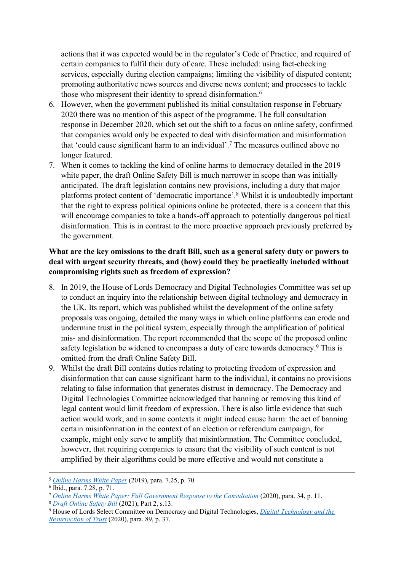actions that it was expected would be in the regulator's Code of Practice, and required of certain companies to fulfil their duty of care. These included: using fact-checking services, especially during election campaigns; limiting the visibility of disputed content; promoting authoritative news sources and diverse news content; and processes to tackle those who mispresent their identity to spread disinformation.<sup>6</sup>

- 6. However, when the government published its initial consultation response in February 2020 there was no mention of this aspect of the programme. The full consultation response in December 2020, which set out the shift to a focus on online safety, confirmed that companies would only be expected to deal with disinformation and misinformation that 'could cause significant harm to an individual'.<sup>7</sup> The measures outlined above no longer featured.
- 7. When it comes to tackling the kind of online harms to democracy detailed in the 2019 white paper, the draft Online Safety Bill is much narrower in scope than was initially anticipated. The draft legislation contains new provisions, including a duty that major platforms protect content of 'democratic importance'.<sup>8</sup> Whilst it is undoubtedly important that the right to express political opinions online be protected, there is a concern that this will encourage companies to take a hands-off approach to potentially dangerous political disinformation. This is in contrast to the more proactive approach previously preferred by the government.

## **What are the key omissions to the draft Bill, such as a general safety duty or powers to deal with urgent security threats, and (how) could they be practically included without compromising rights such as freedom of expression?**

- 8. In 2019, the House of Lords Democracy and Digital Technologies Committee was set up to conduct an inquiry into the relationship between digital technology and democracy in the UK. Its report, which was published whilst the development of the online safety proposals was ongoing, detailed the many ways in which online platforms can erode and undermine trust in the political system, especially through the amplification of political mis- and disinformation. The report recommended that the scope of the proposed online safety legislation be widened to encompass a duty of care towards democracy.<sup>9</sup> This is omitted from the draft Online Safety Bill.
- 9. Whilst the draft Bill contains duties relating to protecting freedom of expression and disinformation that can cause significant harm to the individual, it contains no provisions relating to false information that generates distrust in democracy. The Democracy and Digital Technologies Committee acknowledged that banning or removing this kind of legal content would limit freedom of expression. There is also little evidence that such action would work, and in some contexts it might indeed cause harm: the act of banning certain misinformation in the context of an election or referendum campaign, for example, might only serve to amplify that misinformation. The Committee concluded, however, that requiring companies to ensure that the visibility of such content is not amplified by their algorithms could be more effective and would not constitute a

<sup>5</sup> *[Online](https://assets.publishing.service.gov.uk/government/uploads/system/uploads/attachment_data/file/973939/Online_Harms_White_Paper_V2.pdf) [Harms](https://assets.publishing.service.gov.uk/government/uploads/system/uploads/attachment_data/file/973939/Online_Harms_White_Paper_V2.pdf) [White](https://assets.publishing.service.gov.uk/government/uploads/system/uploads/attachment_data/file/973939/Online_Harms_White_Paper_V2.pdf) [Paper](https://assets.publishing.service.gov.uk/government/uploads/system/uploads/attachment_data/file/973939/Online_Harms_White_Paper_V2.pdf)* (2019), para. 7.25, p. 70.

<sup>6</sup> Ibid., para. 7.28, p. 71.

<sup>7</sup> *[Online](https://assets.publishing.service.gov.uk/government/uploads/system/uploads/attachment_data/file/944310/Online_Harms_White_Paper_Full_Government_Response_to_the_consultation_CP_354_CCS001_CCS1220695430-001__V2.pdf) [Harms](https://assets.publishing.service.gov.uk/government/uploads/system/uploads/attachment_data/file/944310/Online_Harms_White_Paper_Full_Government_Response_to_the_consultation_CP_354_CCS001_CCS1220695430-001__V2.pdf) [White](https://assets.publishing.service.gov.uk/government/uploads/system/uploads/attachment_data/file/944310/Online_Harms_White_Paper_Full_Government_Response_to_the_consultation_CP_354_CCS001_CCS1220695430-001__V2.pdf) [Paper:](https://assets.publishing.service.gov.uk/government/uploads/system/uploads/attachment_data/file/944310/Online_Harms_White_Paper_Full_Government_Response_to_the_consultation_CP_354_CCS001_CCS1220695430-001__V2.pdf) [Full](https://assets.publishing.service.gov.uk/government/uploads/system/uploads/attachment_data/file/944310/Online_Harms_White_Paper_Full_Government_Response_to_the_consultation_CP_354_CCS001_CCS1220695430-001__V2.pdf) [Government](https://assets.publishing.service.gov.uk/government/uploads/system/uploads/attachment_data/file/944310/Online_Harms_White_Paper_Full_Government_Response_to_the_consultation_CP_354_CCS001_CCS1220695430-001__V2.pdf) [Response](https://assets.publishing.service.gov.uk/government/uploads/system/uploads/attachment_data/file/944310/Online_Harms_White_Paper_Full_Government_Response_to_the_consultation_CP_354_CCS001_CCS1220695430-001__V2.pdf) [to](https://assets.publishing.service.gov.uk/government/uploads/system/uploads/attachment_data/file/944310/Online_Harms_White_Paper_Full_Government_Response_to_the_consultation_CP_354_CCS001_CCS1220695430-001__V2.pdf) [the](https://assets.publishing.service.gov.uk/government/uploads/system/uploads/attachment_data/file/944310/Online_Harms_White_Paper_Full_Government_Response_to_the_consultation_CP_354_CCS001_CCS1220695430-001__V2.pdf) [Consultation](https://assets.publishing.service.gov.uk/government/uploads/system/uploads/attachment_data/file/944310/Online_Harms_White_Paper_Full_Government_Response_to_the_consultation_CP_354_CCS001_CCS1220695430-001__V2.pdf)* (2020), para. 34, p. 11.

<sup>8</sup> *[Draft](https://assets.publishing.service.gov.uk/government/uploads/system/uploads/attachment_data/file/985033/Draft_Online_Safety_Bill_Bookmarked.pdf) [Online](https://assets.publishing.service.gov.uk/government/uploads/system/uploads/attachment_data/file/985033/Draft_Online_Safety_Bill_Bookmarked.pdf) [Safety](https://assets.publishing.service.gov.uk/government/uploads/system/uploads/attachment_data/file/985033/Draft_Online_Safety_Bill_Bookmarked.pdf) [Bill](https://assets.publishing.service.gov.uk/government/uploads/system/uploads/attachment_data/file/985033/Draft_Online_Safety_Bill_Bookmarked.pdf)* (2021), Part 2, s.13.

<sup>9</sup> House of Lords Select Committee on Democracy and Digital Technologies, *[Digital](https://committees.parliament.uk/publications/1634/documents/17731/default/) [Technology](https://committees.parliament.uk/publications/1634/documents/17731/default/) [and](https://committees.parliament.uk/publications/1634/documents/17731/default/) [the](https://committees.parliament.uk/publications/1634/documents/17731/default/) [Resurrection](https://committees.parliament.uk/publications/1634/documents/17731/default/) [of](https://committees.parliament.uk/publications/1634/documents/17731/default/) [Trust](https://committees.parliament.uk/publications/1634/documents/17731/default/)* (2020), para. 89, p. 37.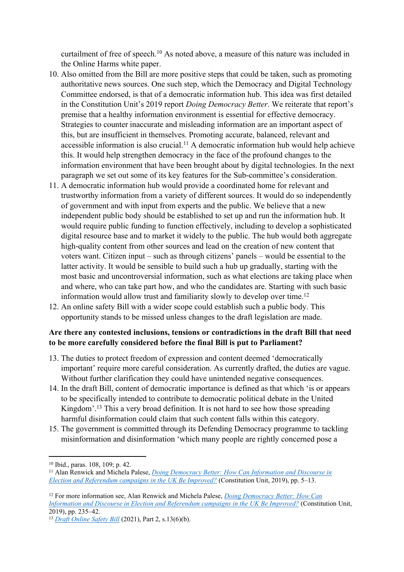curtailment of free of speech.<sup>10</sup> As noted above, a measure of this nature was included in the Online Harms white paper.

- 10. Also omitted from the Bill are more positive steps that could be taken, such as promoting authoritative news sources. One such step, which the Democracy and Digital Technology Committee endorsed, is that of a democratic information hub. This idea was first detailed in the Constitution Unit's 2019 report *Doing Democracy Better*. We reiterate that report's premise that a healthy information environment is essential for effective democracy. Strategies to counter inaccurate and misleading information are an important aspect of this, but are insufficient in themselves. Promoting accurate, balanced, relevant and accessible information is also crucial.<sup>11</sup> A democratic information hub would help achieve this. It would help strengthen democracy in the face of the profound changes to the information environment that have been brought about by digital technologies. In the next paragraph we set out some of its key features for the Sub-committee's consideration.
- 11. A democratic information hub would provide a coordinated home for relevant and trustworthy information from a variety of different sources. It would do so independently of government and with input from experts and the public. We believe that a new independent public body should be established to set up and run the information hub. It would require public funding to function effectively, including to develop a sophisticated digital resource base and to market it widely to the public. The hub would both aggregate high-quality content from other sources and lead on the creation of new content that voters want. Citizen input – such as through citizens' panels – would be essential to the latter activity. It would be sensible to build such a hub up gradually, starting with the most basic and uncontroversial information, such as what elections are taking place when and where, who can take part how, and who the candidates are. Starting with such basic information would allow trust and familiarity slowly to develop over time.<sup>12</sup>
- 12. An online safety Bill with a wider scope could establish such a public body. This opportunity stands to be missed unless changes to the draft legislation are made.

## **Are there any contested inclusions, tensions or contradictions in the draft Bill that need to be more carefully considered before the final Bill is put to Parliament?**

- 13. The duties to protect freedom of expression and content deemed 'democratically important' require more careful consideration. As currently drafted, the duties are vague. Without further clarification they could have unintended negative consequences.
- 14. In the draft Bill, content of democratic importance is defined as that which 'is or appears to be specifically intended to contribute to democratic political debate in the United Kingdom'.<sup>13</sup> This a very broad definition. It is not hard to see how those spreading harmful disinformation could claim that such content falls within this category.
- 15. The government is committed through its Defending Democracy programme to tackling misinformation and disinformation 'which many people are rightly concerned pose a

<sup>10</sup> Ibid., paras. 108, 109; p. 42.

<sup>11</sup> Alan Renwick and Michela Palese, *[Doing](https://www.ucl.ac.uk/constitution-unit/sites/constitution-unit/files/184_-_doing_democracy_better.pdf) [Democracy](https://www.ucl.ac.uk/constitution-unit/sites/constitution-unit/files/184_-_doing_democracy_better.pdf) [Better:](https://www.ucl.ac.uk/constitution-unit/sites/constitution-unit/files/184_-_doing_democracy_better.pdf) [How](https://www.ucl.ac.uk/constitution-unit/sites/constitution-unit/files/184_-_doing_democracy_better.pdf) [Can](https://www.ucl.ac.uk/constitution-unit/sites/constitution-unit/files/184_-_doing_democracy_better.pdf) [Information](https://www.ucl.ac.uk/constitution-unit/sites/constitution-unit/files/184_-_doing_democracy_better.pdf) [and](https://www.ucl.ac.uk/constitution-unit/sites/constitution-unit/files/184_-_doing_democracy_better.pdf) [Discourse](https://www.ucl.ac.uk/constitution-unit/sites/constitution-unit/files/184_-_doing_democracy_better.pdf) [in](https://www.ucl.ac.uk/constitution-unit/sites/constitution-unit/files/184_-_doing_democracy_better.pdf) [Election](https://www.ucl.ac.uk/constitution-unit/sites/constitution-unit/files/184_-_doing_democracy_better.pdf) [and](https://www.ucl.ac.uk/constitution-unit/sites/constitution-unit/files/184_-_doing_democracy_better.pdf) [Referendum](https://www.ucl.ac.uk/constitution-unit/sites/constitution-unit/files/184_-_doing_democracy_better.pdf) [campaigns](https://www.ucl.ac.uk/constitution-unit/sites/constitution-unit/files/184_-_doing_democracy_better.pdf) [in](https://www.ucl.ac.uk/constitution-unit/sites/constitution-unit/files/184_-_doing_democracy_better.pdf) [the](https://www.ucl.ac.uk/constitution-unit/sites/constitution-unit/files/184_-_doing_democracy_better.pdf) [UK](https://www.ucl.ac.uk/constitution-unit/sites/constitution-unit/files/184_-_doing_democracy_better.pdf) [Be](https://www.ucl.ac.uk/constitution-unit/sites/constitution-unit/files/184_-_doing_democracy_better.pdf) [Improved?](https://www.ucl.ac.uk/constitution-unit/sites/constitution-unit/files/184_-_doing_democracy_better.pdf)* (Constitution Unit, 2019), pp. 5–13.

<sup>12</sup> For more information see, Alan Renwick and Michela Palese, *[Doing](https://www.ucl.ac.uk/constitution-unit/sites/constitution-unit/files/184_-_doing_democracy_better.pdf) [Democracy](https://www.ucl.ac.uk/constitution-unit/sites/constitution-unit/files/184_-_doing_democracy_better.pdf) [Better:](https://www.ucl.ac.uk/constitution-unit/sites/constitution-unit/files/184_-_doing_democracy_better.pdf) [How](https://www.ucl.ac.uk/constitution-unit/sites/constitution-unit/files/184_-_doing_democracy_better.pdf) [Can](https://www.ucl.ac.uk/constitution-unit/sites/constitution-unit/files/184_-_doing_democracy_better.pdf) [Information](https://www.ucl.ac.uk/constitution-unit/sites/constitution-unit/files/184_-_doing_democracy_better.pdf) [and](https://www.ucl.ac.uk/constitution-unit/sites/constitution-unit/files/184_-_doing_democracy_better.pdf) [Discourse](https://www.ucl.ac.uk/constitution-unit/sites/constitution-unit/files/184_-_doing_democracy_better.pdf) [in](https://www.ucl.ac.uk/constitution-unit/sites/constitution-unit/files/184_-_doing_democracy_better.pdf) [Election](https://www.ucl.ac.uk/constitution-unit/sites/constitution-unit/files/184_-_doing_democracy_better.pdf) [and](https://www.ucl.ac.uk/constitution-unit/sites/constitution-unit/files/184_-_doing_democracy_better.pdf) [Referendum](https://www.ucl.ac.uk/constitution-unit/sites/constitution-unit/files/184_-_doing_democracy_better.pdf) [campaigns](https://www.ucl.ac.uk/constitution-unit/sites/constitution-unit/files/184_-_doing_democracy_better.pdf) [in](https://www.ucl.ac.uk/constitution-unit/sites/constitution-unit/files/184_-_doing_democracy_better.pdf) [the](https://www.ucl.ac.uk/constitution-unit/sites/constitution-unit/files/184_-_doing_democracy_better.pdf) [UK](https://www.ucl.ac.uk/constitution-unit/sites/constitution-unit/files/184_-_doing_democracy_better.pdf) [Be](https://www.ucl.ac.uk/constitution-unit/sites/constitution-unit/files/184_-_doing_democracy_better.pdf) [Improved?](https://www.ucl.ac.uk/constitution-unit/sites/constitution-unit/files/184_-_doing_democracy_better.pdf)* (Constitution Unit, 2019), pp. 235–42.

<sup>13</sup> *[Draft](https://assets.publishing.service.gov.uk/government/uploads/system/uploads/attachment_data/file/985033/Draft_Online_Safety_Bill_Bookmarked.pdf) [Online](https://assets.publishing.service.gov.uk/government/uploads/system/uploads/attachment_data/file/985033/Draft_Online_Safety_Bill_Bookmarked.pdf) [Safety](https://assets.publishing.service.gov.uk/government/uploads/system/uploads/attachment_data/file/985033/Draft_Online_Safety_Bill_Bookmarked.pdf) [Bill](https://assets.publishing.service.gov.uk/government/uploads/system/uploads/attachment_data/file/985033/Draft_Online_Safety_Bill_Bookmarked.pdf)* (2021), Part 2, s.13(6)(b).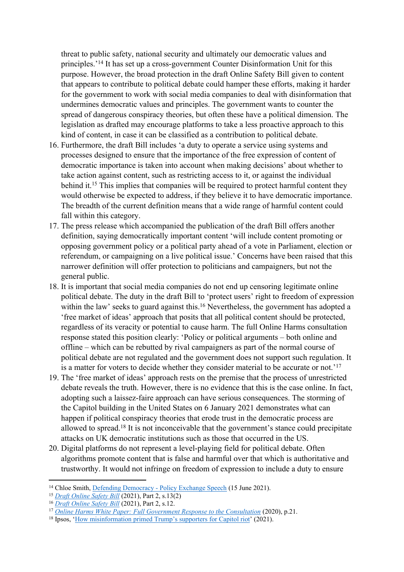threat to public safety, national security and ultimately our democratic values and principles.'<sup>14</sup> It has set up a cross-government Counter Disinformation Unit for this purpose. However, the broad protection in the draft Online Safety Bill given to content that appears to contribute to political debate could hamper these efforts, making it harder for the government to work with social media companies to deal with disinformation that undermines democratic values and principles. The government wants to counter the spread of dangerous conspiracy theories, but often these have a political dimension. The legislation as drafted may encourage platforms to take a less proactive approach to this kind of content, in case it can be classified as a contribution to political debate.

- 16. Furthermore, the draft Bill includes 'a duty to operate a service using systems and processes designed to ensure that the importance of the free expression of content of democratic importance is taken into account when making decisions' about whether to take action against content, such as restricting access to it, or against the individual behind it.<sup>15</sup> This implies that companies will be required to protect harmful content they would otherwise be expected to address, if they believe it to have democratic importance. The breadth of the current definition means that a wide range of harmful content could fall within this category.
- 17. The press release which accompanied the publication of the draft Bill offers another definition, saying democratically important content 'will include content promoting or opposing government policy or a political party ahead of a vote in Parliament, election or referendum, or campaigning on a live political issue.' Concerns have been raised that this narrower definition will offer protection to politicians and campaigners, but not the general public.
- 18. It is important that social media companies do not end up censoring legitimate online political debate. The duty in the draft Bill to 'protect users' right to freedom of expression within the law' seeks to guard against this.<sup>16</sup> Nevertheless, the government has adopted a 'free market of ideas' approach that posits that all political content should be protected, regardless of its veracity or potential to cause harm. The full Online Harms consultation response stated this position clearly: 'Policy or political arguments – both online and offline – which can be rebutted by rival campaigners as part of the normal course of political debate are not regulated and the government does not support such regulation. It is a matter for voters to decide whether they consider material to be accurate or not.'<sup>17</sup>
- 19. The 'free market of ideas' approach rests on the premise that the process of unrestricted debate reveals the truth. However, there is no evidence that this is the case online. In fact, adopting such a laissez-faire approach can have serious consequences. The storming of the Capitol building in the United States on 6 January 2021 demonstrates what can happen if political conspiracy theories that erode trust in the democratic process are allowed to spread.<sup>18</sup> It is not inconceivable that the government's stance could precipitate attacks on UK democratic institutions such as those that occurred in the US.
- 20. Digital platforms do not represent a level-playing field for political debate. Often algorithms promote content that is false and harmful over that which is authoritative and trustworthy. It would not infringe on freedom of expression to include a duty to ensure

<sup>14</sup> Chloe Smith, [Defending](https://www.gov.uk/government/speeches/defending-democracy-policy-exchange-speech) [Democracy](https://www.gov.uk/government/speeches/defending-democracy-policy-exchange-speech) [-](https://www.gov.uk/government/speeches/defending-democracy-policy-exchange-speech) [Policy](https://www.gov.uk/government/speeches/defending-democracy-policy-exchange-speech) [Exchange](https://www.gov.uk/government/speeches/defending-democracy-policy-exchange-speech) [Speech](https://www.gov.uk/government/speeches/defending-democracy-policy-exchange-speech) (15 June 2021).

<sup>15</sup> *[Draft](https://assets.publishing.service.gov.uk/government/uploads/system/uploads/attachment_data/file/985033/Draft_Online_Safety_Bill_Bookmarked.pdf) [Online](https://assets.publishing.service.gov.uk/government/uploads/system/uploads/attachment_data/file/985033/Draft_Online_Safety_Bill_Bookmarked.pdf) [Safety](https://assets.publishing.service.gov.uk/government/uploads/system/uploads/attachment_data/file/985033/Draft_Online_Safety_Bill_Bookmarked.pdf) [Bill](https://assets.publishing.service.gov.uk/government/uploads/system/uploads/attachment_data/file/985033/Draft_Online_Safety_Bill_Bookmarked.pdf)* (2021), Part 2, s.13(2)

<sup>16</sup> *[Draft](https://assets.publishing.service.gov.uk/government/uploads/system/uploads/attachment_data/file/985033/Draft_Online_Safety_Bill_Bookmarked.pdf) [Online](https://assets.publishing.service.gov.uk/government/uploads/system/uploads/attachment_data/file/985033/Draft_Online_Safety_Bill_Bookmarked.pdf) [Safety](https://assets.publishing.service.gov.uk/government/uploads/system/uploads/attachment_data/file/985033/Draft_Online_Safety_Bill_Bookmarked.pdf) [Bill](https://assets.publishing.service.gov.uk/government/uploads/system/uploads/attachment_data/file/985033/Draft_Online_Safety_Bill_Bookmarked.pdf)* (2021), Part 2, s.12.

<sup>17</sup> *[Online](https://assets.publishing.service.gov.uk/government/uploads/system/uploads/attachment_data/file/944310/Online_Harms_White_Paper_Full_Government_Response_to_the_consultation_CP_354_CCS001_CCS1220695430-001__V2.pdf) [Harms](https://assets.publishing.service.gov.uk/government/uploads/system/uploads/attachment_data/file/944310/Online_Harms_White_Paper_Full_Government_Response_to_the_consultation_CP_354_CCS001_CCS1220695430-001__V2.pdf) [White](https://assets.publishing.service.gov.uk/government/uploads/system/uploads/attachment_data/file/944310/Online_Harms_White_Paper_Full_Government_Response_to_the_consultation_CP_354_CCS001_CCS1220695430-001__V2.pdf) [Paper:](https://assets.publishing.service.gov.uk/government/uploads/system/uploads/attachment_data/file/944310/Online_Harms_White_Paper_Full_Government_Response_to_the_consultation_CP_354_CCS001_CCS1220695430-001__V2.pdf) [Full](https://assets.publishing.service.gov.uk/government/uploads/system/uploads/attachment_data/file/944310/Online_Harms_White_Paper_Full_Government_Response_to_the_consultation_CP_354_CCS001_CCS1220695430-001__V2.pdf) [Government](https://assets.publishing.service.gov.uk/government/uploads/system/uploads/attachment_data/file/944310/Online_Harms_White_Paper_Full_Government_Response_to_the_consultation_CP_354_CCS001_CCS1220695430-001__V2.pdf) [Response](https://assets.publishing.service.gov.uk/government/uploads/system/uploads/attachment_data/file/944310/Online_Harms_White_Paper_Full_Government_Response_to_the_consultation_CP_354_CCS001_CCS1220695430-001__V2.pdf) [to](https://assets.publishing.service.gov.uk/government/uploads/system/uploads/attachment_data/file/944310/Online_Harms_White_Paper_Full_Government_Response_to_the_consultation_CP_354_CCS001_CCS1220695430-001__V2.pdf) [the](https://assets.publishing.service.gov.uk/government/uploads/system/uploads/attachment_data/file/944310/Online_Harms_White_Paper_Full_Government_Response_to_the_consultation_CP_354_CCS001_CCS1220695430-001__V2.pdf) [Consultation](https://assets.publishing.service.gov.uk/government/uploads/system/uploads/attachment_data/file/944310/Online_Harms_White_Paper_Full_Government_Response_to_the_consultation_CP_354_CCS001_CCS1220695430-001__V2.pdf)* (2020), p.21.

<sup>&</sup>lt;sup>18</sup> Ipsos, ['How](https://www.ipsos.com/en-us/how-misinformation-primed-trumps-supporters-capitol-riot) [misinformation](https://www.ipsos.com/en-us/how-misinformation-primed-trumps-supporters-capitol-riot) [primed](https://www.ipsos.com/en-us/how-misinformation-primed-trumps-supporters-capitol-riot) [Trump's](https://www.ipsos.com/en-us/how-misinformation-primed-trumps-supporters-capitol-riot) [supporters](https://www.ipsos.com/en-us/how-misinformation-primed-trumps-supporters-capitol-riot) [for](https://www.ipsos.com/en-us/how-misinformation-primed-trumps-supporters-capitol-riot) [Capitol](https://www.ipsos.com/en-us/how-misinformation-primed-trumps-supporters-capitol-riot) [riot](https://www.ipsos.com/en-us/how-misinformation-primed-trumps-supporters-capitol-riot)' (2021).